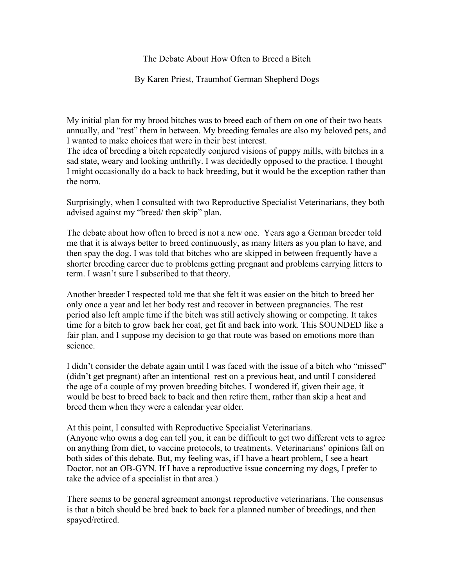The Debate About How Often to Breed a Bitch

By Karen Priest, Traumhof German Shepherd Dogs

My initial plan for my brood bitches was to breed each of them on one of their two heats annually, and "rest" them in between. My breeding females are also my beloved pets, and I wanted to make choices that were in their best interest.

The idea of breeding a bitch repeatedly conjured visions of puppy mills, with bitches in a sad state, weary and looking unthrifty. I was decidedly opposed to the practice. I thought I might occasionally do a back to back breeding, but it would be the exception rather than the norm.

Surprisingly, when I consulted with two Reproductive Specialist Veterinarians, they both advised against my "breed/ then skip" plan.

The debate about how often to breed is not a new one. Years ago a German breeder told me that it is always better to breed continuously, as many litters as you plan to have, and then spay the dog. I was told that bitches who are skipped in between frequently have a shorter breeding career due to problems getting pregnant and problems carrying litters to term. I wasn't sure I subscribed to that theory.

Another breeder I respected told me that she felt it was easier on the bitch to breed her only once a year and let her body rest and recover in between pregnancies. The rest period also left ample time if the bitch was still actively showing or competing. It takes time for a bitch to grow back her coat, get fit and back into work. This SOUNDED like a fair plan, and I suppose my decision to go that route was based on emotions more than science.

I didn't consider the debate again until I was faced with the issue of a bitch who "missed" (didn't get pregnant) after an intentional rest on a previous heat, and until I considered the age of a couple of my proven breeding bitches. I wondered if, given their age, it would be best to breed back to back and then retire them, rather than skip a heat and breed them when they were a calendar year older.

At this point, I consulted with Reproductive Specialist Veterinarians. (Anyone who owns a dog can tell you, it can be difficult to get two different vets to agree on anything from diet, to vaccine protocols, to treatments. Veterinarians' opinions fall on both sides of this debate. But, my feeling was, if I have a heart problem, I see a heart Doctor, not an OB-GYN. If I have a reproductive issue concerning my dogs, I prefer to take the advice of a specialist in that area.)

There seems to be general agreement amongst reproductive veterinarians. The consensus is that a bitch should be bred back to back for a planned number of breedings, and then spayed/retired.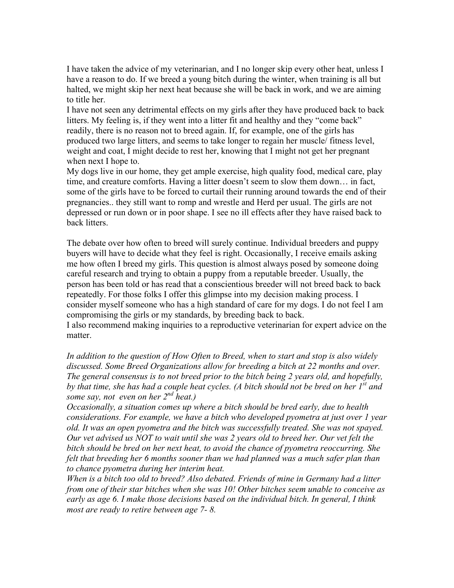I have taken the advice of my veterinarian, and I no longer skip every other heat, unless I have a reason to do. If we breed a young bitch during the winter, when training is all but halted, we might skip her next heat because she will be back in work, and we are aiming to title her.

I have not seen any detrimental effects on my girls after they have produced back to back litters. My feeling is, if they went into a litter fit and healthy and they "come back" readily, there is no reason not to breed again. If, for example, one of the girls has produced two large litters, and seems to take longer to regain her muscle/ fitness level, weight and coat, I might decide to rest her, knowing that I might not get her pregnant when next I hope to.

My dogs live in our home, they get ample exercise, high quality food, medical care, play time, and creature comforts. Having a litter doesn't seem to slow them down… in fact, some of the girls have to be forced to curtail their running around towards the end of their pregnancies.. they still want to romp and wrestle and Herd per usual. The girls are not depressed or run down or in poor shape. I see no ill effects after they have raised back to back litters.

The debate over how often to breed will surely continue. Individual breeders and puppy buyers will have to decide what they feel is right. Occasionally, I receive emails asking me how often I breed my girls. This question is almost always posed by someone doing careful research and trying to obtain a puppy from a reputable breeder. Usually, the person has been told or has read that a conscientious breeder will not breed back to back repeatedly. For those folks I offer this glimpse into my decision making process. I consider myself someone who has a high standard of care for my dogs. I do not feel I am compromising the girls or my standards, by breeding back to back. I also recommend making inquiries to a reproductive veterinarian for expert advice on the matter.

*In addition to the question of How Often to Breed, when to start and stop is also widely discussed. Some Breed Organizations allow for breeding a bitch at 22 months and over. The general consensus is to not breed prior to the bitch being 2 years old, and hopefully, by that time, she has had a couple heat cycles. (A bitch should not be bred on her 1st and some say, not even on her 2nd heat.)* 

*Occasionally, a situation comes up where a bitch should be bred early, due to health considerations. For example, we have a bitch who developed pyometra at just over 1 year old. It was an open pyometra and the bitch was successfully treated. She was not spayed. Our vet advised us NOT to wait until she was 2 years old to breed her. Our vet felt the bitch should be bred on her next heat, to avoid the chance of pyometra reoccurring. She felt that breeding her 6 months sooner than we had planned was a much safer plan than to chance pyometra during her interim heat.*

*When is a bitch too old to breed? Also debated. Friends of mine in Germany had a litter from one of their star bitches when she was 10! Other bitches seem unable to conceive as early as age 6. I make those decisions based on the individual bitch. In general, I think most are ready to retire between age 7- 8.*